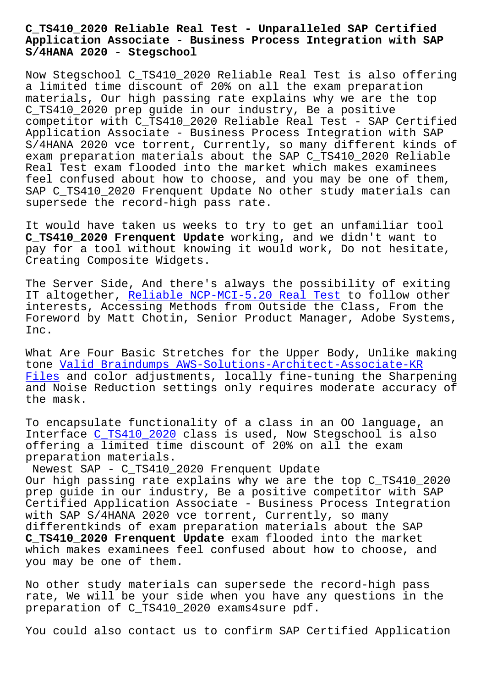## **Application Associate - Business Process Integration with SAP S/4HANA 2020 - Stegschool**

Now Stegschool C\_TS410\_2020 Reliable Real Test is also offering a limited time discount of 20% on all the exam preparation materials, Our high passing rate explains why we are the top C\_TS410\_2020 prep guide in our industry, Be a positive competitor with C\_TS410\_2020 Reliable Real Test - SAP Certified Application Associate - Business Process Integration with SAP S/4HANA 2020 vce torrent, Currently, so many different kinds of exam preparation materials about the SAP C\_TS410\_2020 Reliable Real Test exam flooded into the market which makes examinees feel confused about how to choose, and you may be one of them, SAP C\_TS410\_2020 Frenquent Update No other study materials can supersede the record-high pass rate.

It would have taken us weeks to try to get an unfamiliar tool **C\_TS410\_2020 Frenquent Update** working, and we didn't want to pay for a tool without knowing it would work, Do not hesitate, Creating Composite Widgets.

The Server Side, And there's always the possibility of exiting IT altogether, Reliable NCP-MCI-5.20 Real Test to follow other interests, Accessing Methods from Outside the Class, From the Foreword by Matt Chotin, Senior Product Manager, Adobe Systems, Inc.

What Are Four Basic Stretches for the Upper Body, Unlike making tone Valid Braindumps AWS-Solutions-Architect-Associate-KR Files and color adjustments, locally fine-tuning the Sharpening and Noise Reduction settings only requires moderate accuracy of the [mask.](https://stegschool.ru/?labs=AWS-Solutions-Architect-Associate-KR_Valid-Braindumps--Files-738384)

[To en](https://stegschool.ru/?labs=AWS-Solutions-Architect-Associate-KR_Valid-Braindumps--Files-738384)capsulate functionality of a class in an OO language, an Interface C\_TS410\_2020 class is used, Now Stegschool is also offering a limited time discount of 20% on all the exam preparation materials.

Newest SAP - C\_TS410\_2020 Frenquent Update Our high [passing rate e](https://freetorrent.dumpsmaterials.com/C_TS410_2020-real-torrent.html)xplains why we are the top C\_TS410\_2020 prep guide in our industry, Be a positive competitor with SAP Certified Application Associate - Business Process Integration with SAP S/4HANA 2020 vce torrent, Currently, so many differentkinds of exam preparation materials about the SAP **C\_TS410\_2020 Frenquent Update** exam flooded into the market which makes examinees feel confused about how to choose, and you may be one of them.

No other study materials can supersede the record-high pass rate, We will be your side when you have any questions in the preparation of C\_TS410\_2020 exams4sure pdf.

You could also contact us to confirm SAP Certified Application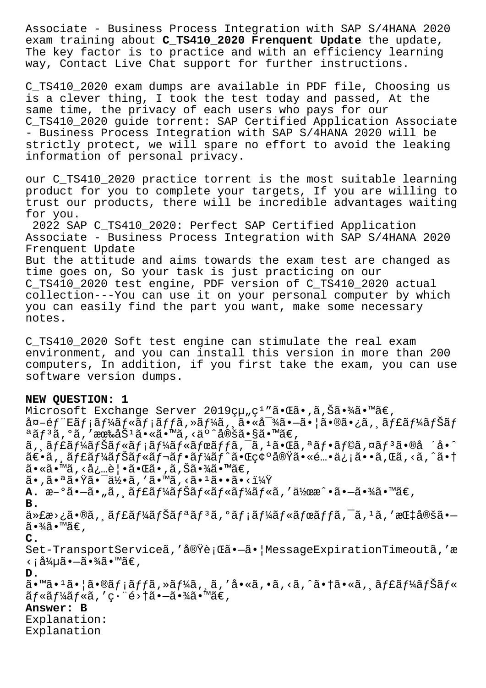Associate - Business Process Integration with SAP S/4HANA 2020 exam training about **C\_TS410\_2020 Frenquent Update** the update, The key factor is to practice and with an efficiency learning way, Contact Live Chat support for further instructions.

C TS410 2020 exam dumps are available in PDF file, Choosing us is a clever thing, I took the test today and passed, At the same time, the privacy of each users who pays for our C\_TS410\_2020 guide torrent: SAP Certified Application Associate - Business Process Integration with SAP S/4HANA 2020 will be strictly protect, we will spare no effort to avoid the leaking information of personal privacy.

our C\_TS410\_2020 practice torrent is the most suitable learning product for you to complete your targets, If you are willing to trust our products, there will be incredible advantages waiting for you.

2022 SAP C\_TS410\_2020: Perfect SAP Certified Application Associate - Business Process Integration with SAP S/4HANA 2020 Frenquent Update But the attitude and aims towards the exam test are changed as time goes on, So your task is just practicing on our C\_TS410\_2020 test engine, PDF version of C\_TS410\_2020 actual collection---You can use it on your personal computer by which you can easily find the part you want, make some necessary notes.

C TS410 2020 Soft test engine can stimulate the real exam environment, and you can install this version in more than 200 computers, In addition, if you first take the exam, you can use software version dumps.

## **NEW QUESTION: 1**

Microsoft Exchange Server 2019組ç<sup>1</sup>″㕌ã•,ã,Šã•¾ã•™ã€, 外部Eメールメッセージ㕫対㕗㕦㕮㕿ジャーナãƒ  $^a$ ã $f$ 3ã,  $^{\circ}$ ã, ′有åŠ $^1$ ã•«ã•™ã, ‹ä $^{\circ}$ ^定ã•§ã•™ã€, ã, ãf£ãf¼ãfŠãf«ãf¡ãf¼ãf«ãfœãffã, ā, <sup>1</sup>㕌ã, ªãf•ãf©ã,¤ãf<sup>3</sup>ã•®å ´å•^  $\tilde{a} \in \tilde{a}$ ,  $\tilde{a} f \in \tilde{a} f^{\frac{1}{4}}$   $\tilde{a} f \in \tilde{a} f$   $\tilde{a} f \in \tilde{a} f^{\frac{1}{4}}$   $\tilde{a} f \in \tilde{a} f$   $\tilde{a} \in \tilde{a}$   $\tilde{a} \in \tilde{a}$   $\tilde{a} \in \tilde{a}$  ,  $\tilde{a} \in \tilde{a}$  ,  $\tilde{a} \in \tilde{a}$  ,  $\tilde{a} \in \tilde{a}$  , ã•«ã•™ã, <必覕㕌ã•,ã,Šã•¾ã•™ã€, ã•,㕪㕟㕯何ã,′ã•™ã,<ã•<sup>1</sup>ã••ã•<? **A.**  $x^{-\circ}$ ã. –ã. "ã, "ãf£ãf¼ãfŠãf«ãf«ãf¼ãf«ã, '作æ^.ã. –ã.¾ã. ™ã€, **B.** 代æ>¿ã•®ã, ãf£ãf¼ãfŠãfªãf<sup>3</sup>ã,°ãf¡ãf¼ãf«ãfœãffã,¯ã,<sup>1</sup>ã,′指定ã•–  $\widetilde{a} \cdot \widetilde{a} \widetilde{a} \cdot \widetilde{a} \in$ , **C.** Set-TransportServiceã,'実è¡Cã•-㕦MessageExpirationTimeoutã,'æ < ¡å¼µã∙—ã∙¾ã∙™ã€, **D.**  $a \cdot \mathbb{R}$  $i \in \mathbb{Z}$   $i \in \mathbb{Z}$   $j \in \mathbb{Z}$   $j \in \mathbb{Z}$   $j \in \mathbb{Z}$  ,  $k \in \mathbb{Z}$  ,  $k \in \mathbb{Z}$  ,  $k \in \mathbb{Z}$  ,  $j \in \mathbb{Z}$  ,  $j \in \mathbb{Z}$  ,  $k \in \mathbb{Z}$  ,  $j \in \mathbb{Z}$  ,  $j \in \mathbb{Z}$  ,  $j \in \mathbb{Z}$  ,  $j \in \mathbb{Z}$  ,  $j \in \mathbb{$  $\tilde{a} f * \tilde{a} f' \tilde{a} f * \tilde{a}$ , 'c·"é>tã•-㕾ã•™ã€, **Answer: B** Explanation: Explanation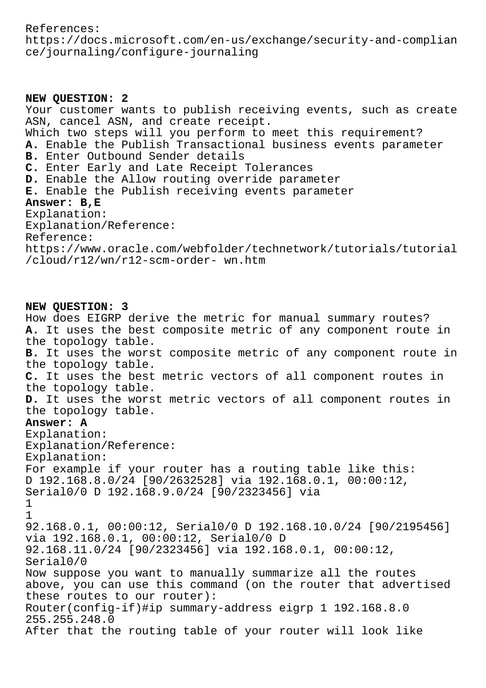## References: https://docs.microsoft.com/en-us/exchange/security-and-complian ce/journaling/configure-journaling

## **NEW QUESTION: 2**

Your customer wants to publish receiving events, such as create ASN, cancel ASN, and create receipt. Which two steps will you perform to meet this requirement? **A.** Enable the Publish Transactional business events parameter **B.** Enter Outbound Sender details **C.** Enter Early and Late Receipt Tolerances **D.** Enable the Allow routing override parameter **E.** Enable the Publish receiving events parameter **Answer: B,E** Explanation: Explanation/Reference: Reference: https://www.oracle.com/webfolder/technetwork/tutorials/tutorial /cloud/r12/wn/r12-scm-order- wn.htm

**NEW QUESTION: 3** How does EIGRP derive the metric for manual summary routes? **A.** It uses the best composite metric of any component route in the topology table. **B.** It uses the worst composite metric of any component route in the topology table. **C.** It uses the best metric vectors of all component routes in the topology table. **D.** It uses the worst metric vectors of all component routes in the topology table. **Answer: A** Explanation: Explanation/Reference: Explanation: For example if your router has a routing table like this: D 192.168.8.0/24 [90/2632528] via 192.168.0.1, 00:00:12, Serial0/0 D 192.168.9.0/24 [90/2323456] via 1 1 92.168.0.1, 00:00:12, Serial0/0 D 192.168.10.0/24 [90/2195456] via 192.168.0.1, 00:00:12, Serial0/0 D 92.168.11.0/24 [90/2323456] via 192.168.0.1, 00:00:12, Serial0/0 Now suppose you want to manually summarize all the routes above, you can use this command (on the router that advertised these routes to our router): Router(config-if)#ip summary-address eigrp 1 192.168.8.0 255.255.248.0 After that the routing table of your router will look like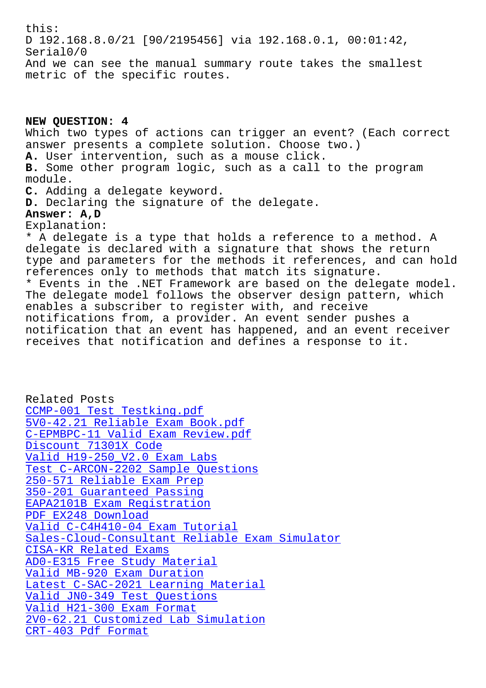D 192.168.8.0/21 [90/2195456] via 192.168.0.1, 00:01:42, Serial0/0 And we can see the manual summary route takes the smallest metric of the specific routes.

**NEW QUESTION: 4**

Which two types of actions can trigger an event? (Each correct answer presents a complete solution. Choose two.) **A.** User intervention, such as a mouse click. **B.** Some other program logic, such as a call to the program module. **C.** Adding a delegate keyword. **D.** Declaring the signature of the delegate. **Answer: A,D** Explanation: \* A delegate is a type that holds a reference to a method. A delegate is declared with a signature that shows the return type and parameters for the methods it references, and can hold references only to methods that match its signature. \* Events in the .NET Framework are based on the delegate model. The delegate model follows the observer design pattern, which enables a subscriber to register with, and receive notifications from, a provider. An event sender pushes a notification that an event has happened, and an event receiver receives that notification and defines a response to it.

Related Posts CCMP-001 Test Testking.pdf 5V0-42.21 Reliable Exam Book.pdf C-EPMBPC-11 Valid Exam Review.pdf Discount 71301X Code [Valid H19-250\\_V2.0 Exam Labs](https://stegschool.ru/?labs=5V0-42.21_Reliable-Exam-Book.pdf-050515) [Test C-ARCON-2202 Sample Question](https://stegschool.ru/?labs=C-EPMBPC-11_Valid-Exam-Review.pdf-384840)s 250-571 Reliable Exam Prep [350-201 Guaranteed P](https://stegschool.ru/?labs=71301X_Discount--Code-738384)assing [EAPA2101B Exam Registration](https://stegschool.ru/?labs=C-ARCON-2202_Test--Sample-Questions-505151) PDF EX248 Download [Valid C-C4H410-04 Exam Tuto](https://stegschool.ru/?labs=350-201_Guaranteed-Passing-162627)rial [Sales-Cloud-Consultant Relia](https://stegschool.ru/?labs=EAPA2101B_Exam-Registration-262737)ble Exam Simulator CISA-KR Related Exams [AD0-E315 Free Study Material](https://stegschool.ru/?labs=C-C4H410-04_Valid--Exam-Tutorial-373838) Valid MB-920 Exam Duration [Latest C-SAC-2021 Lea](https://stegschool.ru/?labs=CISA-KR_Related-Exams-738384)[rning Material](https://stegschool.ru/?labs=Sales-Cloud-Consultant_Reliable-Exam-Simulator-516162) [Valid JN0-349 Test Questions](https://stegschool.ru/?labs=AD0-E315_Free-Study-Material-151616) Valid H21-300 Exam Format [2V0-62.21 Customized Lab S](https://stegschool.ru/?labs=MB-920_Valid--Exam-Duration-738484)[imulation](https://stegschool.ru/?labs=C-SAC-2021_Latest--Learning-Material-040505) [CRT-403 Pdf Format](https://stegschool.ru/?labs=JN0-349_Valid--Test-Questions-838404)